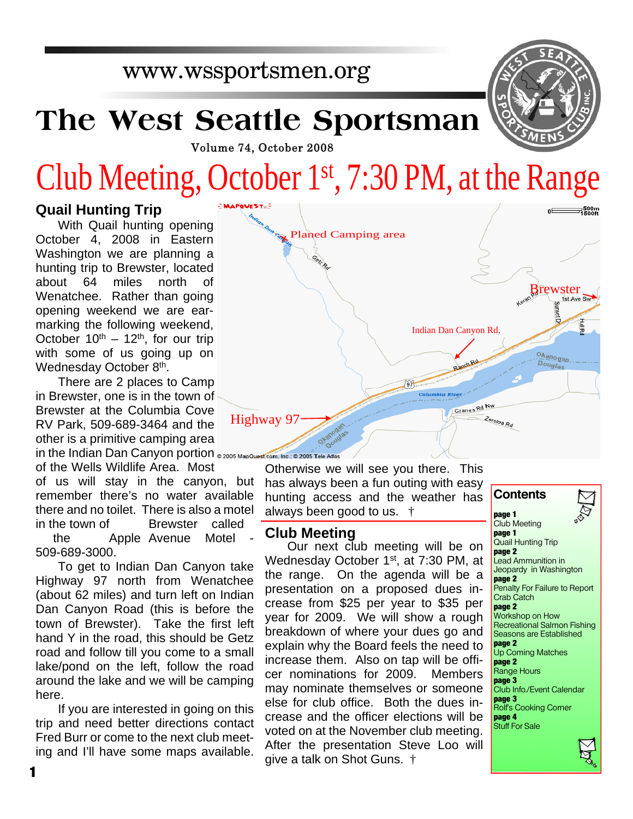## www.wssportsmen.org

# **The West Seattle Sportsman**

Volume 74, October 2008

# Club Meeting, October 1st, 7:30 PM, at the Range

### **Quail Hunting Trip**

With Quail hunting opening October 4, 2008 in Eastern Washington we are planning a hunting trip to Brewster, located about 64 miles north of Wenatchee. Rather than going opening weekend we are earmarking the following weekend, October  $10^{th} - 12^{th}$ , for our trip with some of us going up on Wednesday October 8<sup>th</sup>.

There are 2 places to Camp in Brewster, one is in the town of Brewster at the Columbia Cove RV Park, 509-689-3464 and the other is a primitive camping area in the Indian Dan Canyon portion @ 2005 MapQuest.com, Inc.; @ 2005 Tele Atlas

of the Wells Wildlife Area. Most of us will stay in the canyon, but remember there's no water available there and no toilet. There is also a motel in the town of Brewster called

 the Apple Avenue Motel - 509-689-3000.

To get to Indian Dan Canyon take Highway 97 north from Wenatchee (about 62 miles) and turn left on Indian Dan Canyon Road (this is before the town of Brewster). Take the first left hand Y in the road, this should be Getz road and follow till you come to a small lake/pond on the left, follow the road around the lake and we will be camping here.

If you are interested in going on this trip and need better directions contact Fred Burr or come to the next club meeting and I'll have some maps available.



Otherwise we will see you there. This has always been a fun outing with easy hunting access and the weather has always been good to us. †

#### **Club Meeting**

Our next club meeting will be on Wednesday October 1<sup>st</sup>, at 7:30 PM, at the range. On the agenda will be a presentation on a proposed dues increase from \$25 per year to \$35 per year for 2009. We will show a rough breakdown of where your dues go and explain why the Board feels the need to increase them. Also on tap will be officer nominations for 2009. Members may nominate themselves or someone else for club office. Both the dues increase and the officer elections will be voted on at the November club meeting. After the presentation Steve Loo will give a talk on Shot Guns. †

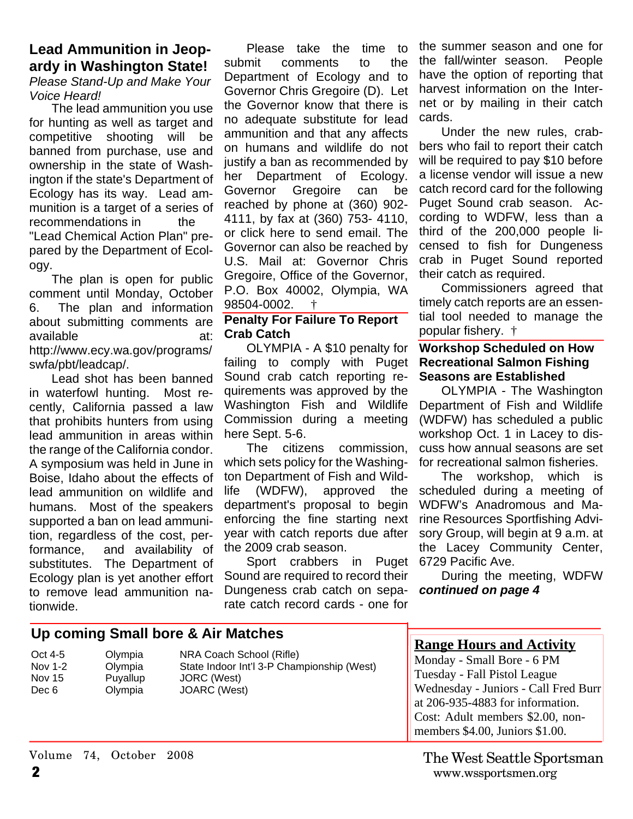#### **Lead Ammunition in Jeopardy in Washington State!** *Please Stand-Up and Make Your Voice Heard!*

The lead ammunition you use for hunting as well as target and competitive shooting will be banned from purchase, use and ownership in the state of Washington if the state's Department of Ecology has its way. Lead ammunition is a target of a series of recommendations in the "Lead Chemical Action Plan" prepared by the Department of Ecology.

The plan is open for public comment until Monday, October 6. The plan and information about submitting comments are available at: http://www.ecy.wa.gov/programs/ swfa/pbt/leadcap/.

Lead shot has been banned in waterfowl hunting. Most recently, California passed a law that prohibits hunters from using lead ammunition in areas within the range of the California condor. A symposium was held in June in Boise, Idaho about the effects of lead ammunition on wildlife and humans. Most of the speakers supported a ban on lead ammunition, regardless of the cost, performance, and availability of substitutes. The Department of Ecology plan is yet another effort to remove lead ammunition nationwide.

Please take the time to submit comments to the Department of Ecology and to Governor Chris Gregoire (D). Let the Governor know that there is no adequate substitute for lead ammunition and that any affects on humans and wildlife do not justify a ban as recommended by her Department of Ecology. Governor Gregoire can be reached by phone at (360) 902- 4111, by fax at (360) 753- 4110, or click here to send email. The Governor can also be reached by U.S. Mail at: Governor Chris Gregoire, Office of the Governor, P.O. Box 40002, Olympia, WA 98504-0002. †

#### **Penalty For Failure To Report Crab Catch**

OLYMPIA - A \$10 penalty for failing to comply with Puget Sound crab catch reporting requirements was approved by the Washington Fish and Wildlife Commission during a meeting here Sept. 5-6.

The citizens commission, which sets policy for the Washington Department of Fish and Wildlife (WDFW), approved the department's proposal to begin enforcing the fine starting next year with catch reports due after the 2009 crab season.

Sport crabbers in Puget Sound are required to record their Dungeness crab catch on separate catch record cards - one for

the summer season and one for the fall/winter season. People have the option of reporting that harvest information on the Internet or by mailing in their catch cards.

Under the new rules, crabbers who fail to report their catch will be required to pay \$10 before a license vendor will issue a new catch record card for the following Puget Sound crab season. According to WDFW, less than a third of the 200,000 people licensed to fish for Dungeness crab in Puget Sound reported their catch as required.

Commissioners agreed that timely catch reports are an essential tool needed to manage the popular fishery. †

#### **Workshop Scheduled on How Recreational Salmon Fishing Seasons are Established**

OLYMPIA - The Washington Department of Fish and Wildlife (WDFW) has scheduled a public workshop Oct. 1 in Lacey to discuss how annual seasons are set for recreational salmon fisheries.

The workshop, which is scheduled during a meeting of WDFW's Anadromous and Marine Resources Sportfishing Advisory Group, will begin at 9 a.m. at the Lacey Community Center, 6729 Pacific Ave.

During the meeting, WDFW *continued on page 4*

| Up coming Small bore & Air Matches    |                                                                                                |                                                                                                       |                                                                                                                                                                                                                                                  |
|---------------------------------------|------------------------------------------------------------------------------------------------|-------------------------------------------------------------------------------------------------------|--------------------------------------------------------------------------------------------------------------------------------------------------------------------------------------------------------------------------------------------------|
| Oct 4-5<br>Nov 1-2<br>Nov 15<br>Dec 6 | Olympia<br>Olympia<br>Puyallup<br>Olympia                                                      | NRA Coach School (Rifle)<br>State Indoor Int'l 3-P Championship (West)<br>JORC (West)<br>JOARC (West) | <b>Range Hours and Activity</b><br>Monday - Small Bore - 6 PM<br>Tuesday - Fall Pistol League<br>Wednesday - Juniors - Call Fred Burr<br>at 206-935-4883 for information.<br>Cost: Adult members \$2.00, non-<br>members \$4.00, Juniors \$1.00. |
|                                       | $\overline{v}_{\text{other}}$ $\overline{v}_{\text{other}}$ $\overline{v}_{\text{other}}$ 0000 |                                                                                                       | <del></del> . ~  ~                                                                                                                                                                                                                               |

Volume 74, October 2008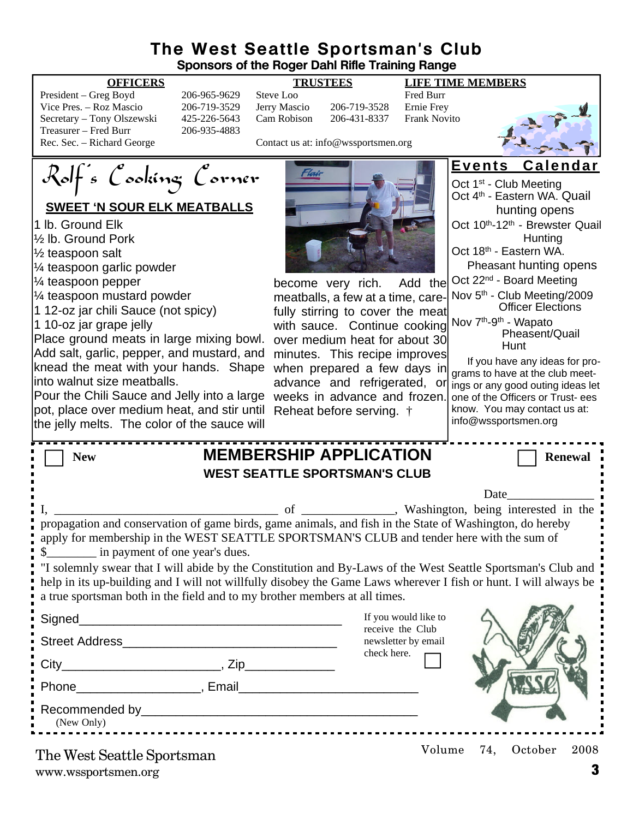### **The West Seattle Sportsman's Club Sponsors of the Roger Dahl Rifle Training Range**

| President – Greg Boyd      |
|----------------------------|
| Vice Pres. – Roz Mascio    |
| Secretary – Tony Olszewski |
| Treasurer – Fred Burr      |
| Rec. Sec. – Richard George |

206-965-9629 Steve Loo Fred Burr 206-719-3529 Jerry Mascio 206-719-3528 Ernie Frey 425-226-5643 Cam Robison 206-431-8337 Frank Novito 206-935-4883

Contact us at: info@wssportsmen.org



Rolf's Cooking Corner

### **SWEET 'N SOUR ELK MEATBALLS**

1 lb. Ground Elk

½ lb. Ground Pork

½ teaspoon salt

¼ teaspoon garlic powder

¼ teaspoon pepper

¼ teaspoon mustard powder

1 12-oz jar chili Sauce (not spicy)

1 10-oz jar grape jelly

Place ground meats in large mixing bowl. Add salt, garlic, pepper, and mustard, and knead the meat with your hands. Shape into walnut size meatballs.

Pour the Chili Sauce and Jelly into a large weeks in advance and frozen. pot, place over medium heat, and stir until Reheat before serving. † the jelly melts. The color of the sauce will



become very rich. Add the meatballs, a few at a time, carefully stirring to cover the meat with sauce. Continue cooking over medium heat for about 30 minutes. This recipe improves when prepared a few days in advance and refrigerated, or

|  | Events | <b>Calendar</b> |
|--|--------|-----------------|
|--|--------|-----------------|

Oct 1<sup>st</sup> - Club Meeting Oct 4th - Eastern WA. Quail hunting opens Oct 10<sup>th</sup>-12<sup>th</sup> - Brewster Quail **Hunting** Oct 18<sup>th</sup> - Eastern WA. Pheasant hunting opens Oct 22nd - Board Meeting Nov 5th - Club Meeting/2009 Officer Elections Nov 7th-9th - Wapato Pheasent/Quail Hunt

If you have any ideas for programs to have at the club meetings or any good outing ideas let one of the Officers or Trust- ees know. You may contact us at: info@wssportsmen.org

| <b>MEMBERSHIP APPLICATION</b><br><b>New</b>                                                                                                                                                                                                                                                                      | <b>Renewal</b>                           |  |  |  |  |
|------------------------------------------------------------------------------------------------------------------------------------------------------------------------------------------------------------------------------------------------------------------------------------------------------------------|------------------------------------------|--|--|--|--|
| <b>WEST SEATTLE SPORTSMAN'S CLUB</b>                                                                                                                                                                                                                                                                             |                                          |  |  |  |  |
|                                                                                                                                                                                                                                                                                                                  | Date                                     |  |  |  |  |
| propagation and conservation of game birds, game animals, and fish in the State of Washington, do hereby<br>apply for membership in the WEST SEATTLE SPORTSMAN'S CLUB and tender here with the sum of<br>\$<br><u>S</u> in payment of one year's dues.                                                           |                                          |  |  |  |  |
| I "I solemnly swear that I will abide by the Constitution and By-Laws of the West Seattle Sportsman's Club and<br>help in its up-building and I will not willfully disobey the Game Laws wherever I fish or hunt. I will always be<br>a true sportsman both in the field and to my brother members at all times. |                                          |  |  |  |  |
| Signed____<br><u> 1989 - Johann John Stone, mars eta biztanleria (</u>                                                                                                                                                                                                                                           | If you would like to<br>receive the Club |  |  |  |  |
| Street Address and the street Address and the street Address and the street Address and the street of the street of the street of the street of the street of the street of the street of the street of the street of the stre                                                                                   | newsletter by email                      |  |  |  |  |
|                                                                                                                                                                                                                                                                                                                  | check here.                              |  |  |  |  |
| Phone River Represent Remail                                                                                                                                                                                                                                                                                     |                                          |  |  |  |  |
| Recommended by Participants and the commended by the comment of the comment of the comment of the comment of the comment of the comment of the comment of the comment of the comment of the comment of the comment of the comm<br>(New Only)<br>---------------------------------                                |                                          |  |  |  |  |
| The West Seattle Sportsman                                                                                                                                                                                                                                                                                       | 74,<br>October<br>2008<br>Volume         |  |  |  |  |